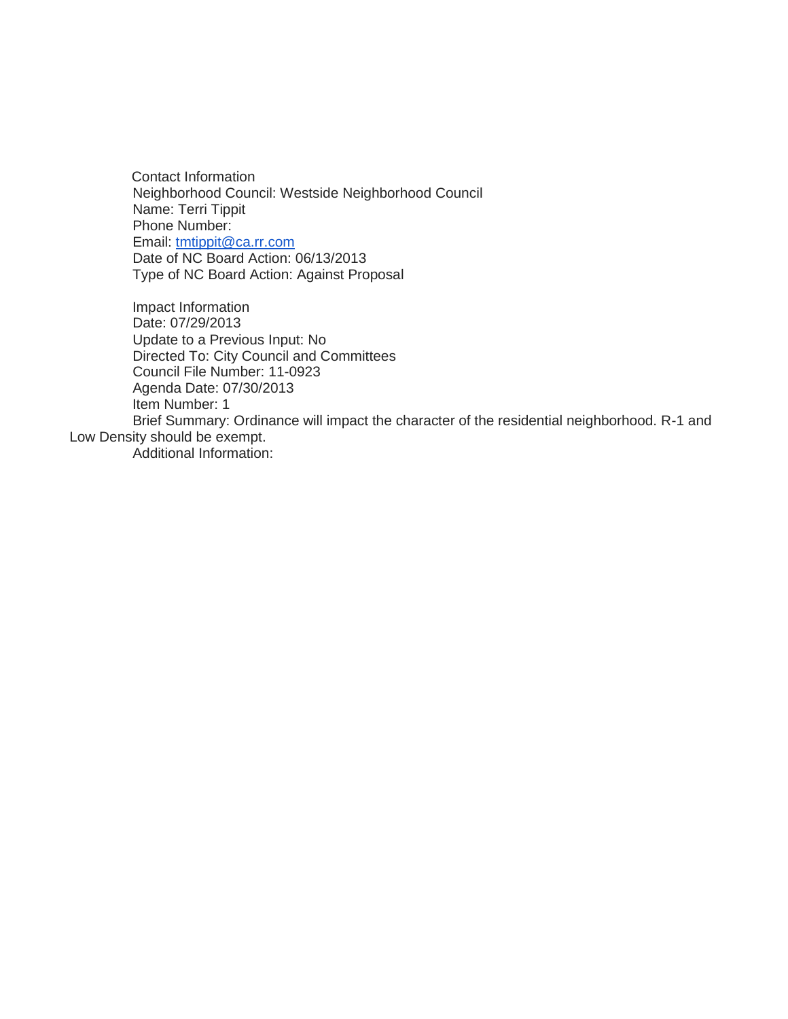Contact Information Neighborhood Council: Westside Neighborhood Council Name: Terri Tippit Phone Number: Email: [tmtippit@ca.rr.com](mailto:tmtippit@ca.rr.com) Date of NC Board Action: 06/13/2013 Type of NC Board Action: Against Proposal

Impact Information Date: 07/29/2013 Update to a Previous Input: No Directed To: City Council and Committees Council File Number: 11-0923 Agenda Date: 07/30/2013 Item Number: 1 Brief Summary: Ordinance will impact the character of the residential neighborhood. R-1 and Low Density should be exempt.

Additional Information: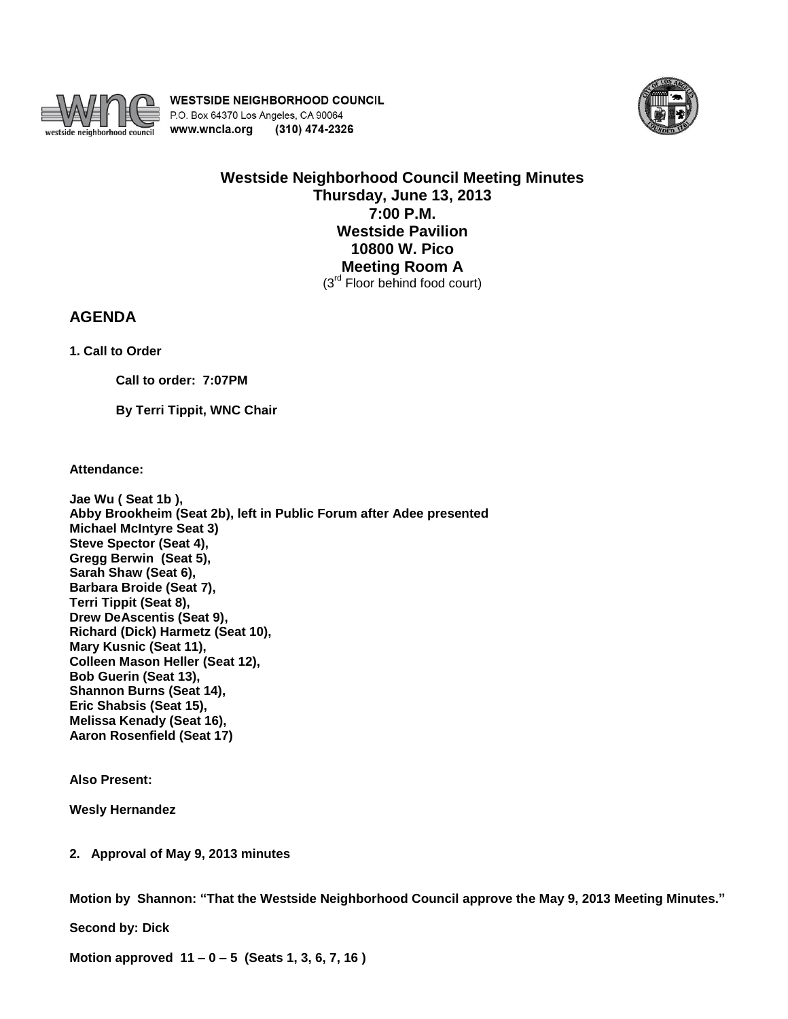

**WESTSIDE NEIGHBORHOOD COUNCIL** P.O. Box 64370 Los Angeles, CA 90064 www.wncla.org (310) 474-2326



**Westside Neighborhood Council Meeting Minutes Thursday, June 13, 2013 7:00 P.M. Westside Pavilion 10800 W. Pico Meeting Room A**  (3<sup>rd</sup> Floor behind food court)

## **AGENDA**

**1. Call to Order** 

**Call to order: 7:07PM** 

**By Terri Tippit, WNC Chair**

**Attendance:**

**Jae Wu ( Seat 1b ), Abby Brookheim (Seat 2b), left in Public Forum after Adee presented Michael McIntyre Seat 3) Steve Spector (Seat 4), Gregg Berwin (Seat 5), Sarah Shaw (Seat 6), Barbara Broide (Seat 7), Terri Tippit (Seat 8), Drew DeAscentis (Seat 9), Richard (Dick) Harmetz (Seat 10), Mary Kusnic (Seat 11), Colleen Mason Heller (Seat 12), Bob Guerin (Seat 13), Shannon Burns (Seat 14), Eric Shabsis (Seat 15), Melissa Kenady (Seat 16), Aaron Rosenfield (Seat 17)**

**Also Present:**

**Wesly Hernandez**

**2. Approval of May 9, 2013 minutes**

**Motion by Shannon: "That the Westside Neighborhood Council approve the May 9, 2013 Meeting Minutes."**

**Second by: Dick**

**Motion approved 11 – 0 – 5 (Seats 1, 3, 6, 7, 16 )**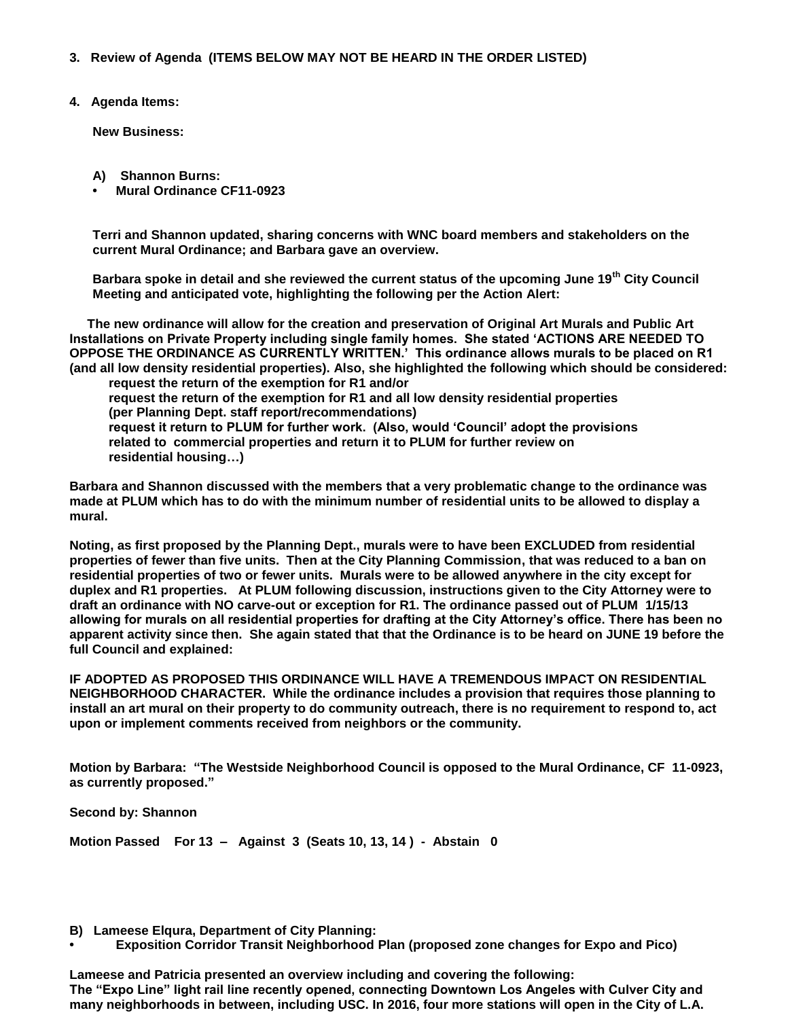- **3. Review of Agenda (ITEMS BELOW MAY NOT BE HEARD IN THE ORDER LISTED)**
- **4. Agenda Items:**

**New Business:**

- **A) Shannon Burns:**
- **• Mural Ordinance CF11-0923**

**Terri and Shannon updated, sharing concerns with WNC board members and stakeholders on the current Mural Ordinance; and Barbara gave an overview.** 

**Barbara spoke in detail and she reviewed the current status of the upcoming June 19th City Council Meeting and anticipated vote, highlighting the following per the Action Alert:**

 **The new ordinance will allow for the creation and preservation of Original Art Murals and Public Art Installations on Private Property including single family homes. She stated 'ACTIONS ARE NEEDED TO OPPOSE THE ORDINANCE AS CURRENTLY WRITTEN.' This ordinance allows murals to be placed on R1 (and all low density residential properties). Also, she highlighted the following which should be considered:** 

 **request the return of the exemption for R1 and/or request the return of the exemption for R1 and all low density residential properties (per Planning Dept. staff report/recommendations) request it return to PLUM for further work. (Also, would 'Council' adopt the provisions related to commercial properties and return it to PLUM for further review on residential housing…)**

**Barbara and Shannon discussed with the members that a very problematic change to the ordinance was made at PLUM which has to do with the minimum number of residential units to be allowed to display a mural.** 

**Noting, as first proposed by the Planning Dept., murals were to have been EXCLUDED from residential properties of fewer than five units. Then at the City Planning Commission, that was reduced to a ban on residential properties of two or fewer units. Murals were to be allowed anywhere in the city except for duplex and R1 properties. At PLUM following discussion, instructions given to the City Attorney were to draft an ordinance with NO carve-out or exception for R1. The ordinance passed out of PLUM 1/15/13 allowing for murals on all residential properties for drafting at the City Attorney's office. There has been no apparent activity since then. She again stated that that the Ordinance is to be heard on JUNE 19 before the full Council and explained:**

**IF ADOPTED AS PROPOSED THIS ORDINANCE WILL HAVE A TREMENDOUS IMPACT ON RESIDENTIAL NEIGHBORHOOD CHARACTER. While the ordinance includes a provision that requires those planning to install an art mural on their property to do community outreach, there is no requirement to respond to, act upon or implement comments received from neighbors or the community.** 

**Motion by Barbara: "The Westside Neighborhood Council is opposed to the Mural Ordinance, CF 11-0923, as currently proposed."**

**Second by: Shannon** 

**Motion Passed For 13 – Against 3 (Seats 10, 13, 14 ) - Abstain 0**

- **B) Lameese Elqura, Department of City Planning:**
- **• Exposition Corridor Transit Neighborhood Plan (proposed zone changes for Expo and Pico)**

**Lameese and Patricia presented an overview including and covering the following: The "Expo Line" light rail line recently opened, connecting Downtown Los Angeles with Culver City and many neighborhoods in between, including USC. In 2016, four more stations will open in the City of L.A.**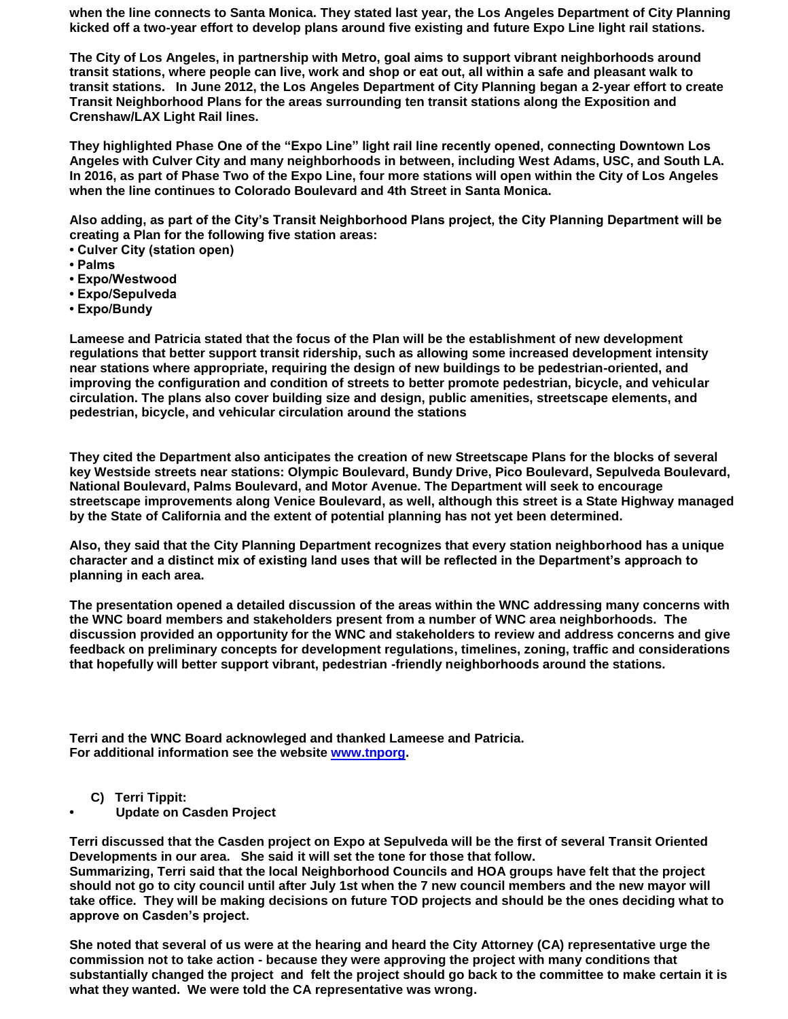**when the line connects to Santa Monica. They stated last year, the Los Angeles Department of City Planning kicked off a two-year effort to develop plans around five existing and future Expo Line light rail stations.**

**The City of Los Angeles, in partnership with Metro, goal aims to support vibrant neighborhoods around transit stations, where people can live, work and shop or eat out, all within a safe and pleasant walk to transit stations. In June 2012, the Los Angeles Department of City Planning began a 2-year effort to create Transit Neighborhood Plans for the areas surrounding ten transit stations along the Exposition and Crenshaw/LAX Light Rail lines.**

**They highlighted Phase One of the "Expo Line" light rail line recently opened, connecting Downtown Los Angeles with Culver City and many neighborhoods in between, including West Adams, USC, and South LA. In 2016, as part of Phase Two of the Expo Line, four more stations will open within the City of Los Angeles when the line continues to Colorado Boulevard and 4th Street in Santa Monica.**

**Also adding, as part of the City's Transit Neighborhood Plans project, the City Planning Department will be creating a Plan for the following five station areas:**

- **Culver City (station open)**
- **Palms**
- **Expo/Westwood**
- **Expo/Sepulveda**
- **Expo/Bundy**

**Lameese and Patricia stated that the focus of the Plan will be the establishment of new development regulations that better support transit ridership, such as allowing some increased development intensity near stations where appropriate, requiring the design of new buildings to be pedestrian-oriented, and improving the configuration and condition of streets to better promote pedestrian, bicycle, and vehicular circulation. The plans also cover building size and design, public amenities, streetscape elements, and pedestrian, bicycle, and vehicular circulation around the stations**

**They cited the Department also anticipates the creation of new Streetscape Plans for the blocks of several key Westside streets near stations: Olympic Boulevard, Bundy Drive, Pico Boulevard, Sepulveda Boulevard, National Boulevard, Palms Boulevard, and Motor Avenue. The Department will seek to encourage streetscape improvements along Venice Boulevard, as well, although this street is a State Highway managed by the State of California and the extent of potential planning has not yet been determined.**

**Also, they said that the City Planning Department recognizes that every station neighborhood has a unique character and a distinct mix of existing land uses that will be reflected in the Department's approach to planning in each area.** 

**The presentation opened a detailed discussion of the areas within the WNC addressing many concerns with the WNC board members and stakeholders present from a number of WNC area neighborhoods. The discussion provided an opportunity for the WNC and stakeholders to review and address concerns and give feedback on preliminary concepts for development regulations, timelines, zoning, traffic and considerations that hopefully will better support vibrant, pedestrian -friendly neighborhoods around the stations.**

**Terri and the WNC Board acknowleged and thanked Lameese and Patricia. For additional information see the website [www.tnporg.](http://www.tnporg/)** 

- **C) Terri Tippit:**
- **• Update on Casden Project**

**Terri discussed that the Casden project on Expo at Sepulveda will be the first of several Transit Oriented Developments in our area. She said it will set the tone for those that follow. Summarizing, Terri said that the local Neighborhood Councils and HOA groups have felt that the project should not go to city council until after July 1st when the 7 new council members and the new mayor will take office. They will be making decisions on future TOD projects and should be the ones deciding what to approve on Casden's project.**

**She noted that several of us were at the hearing and heard the City Attorney (CA) representative urge the commission not to take action - because they were approving the project with many conditions that substantially changed the project and felt the project should go back to the committee to make certain it is what they wanted. We were told the CA representative was wrong.**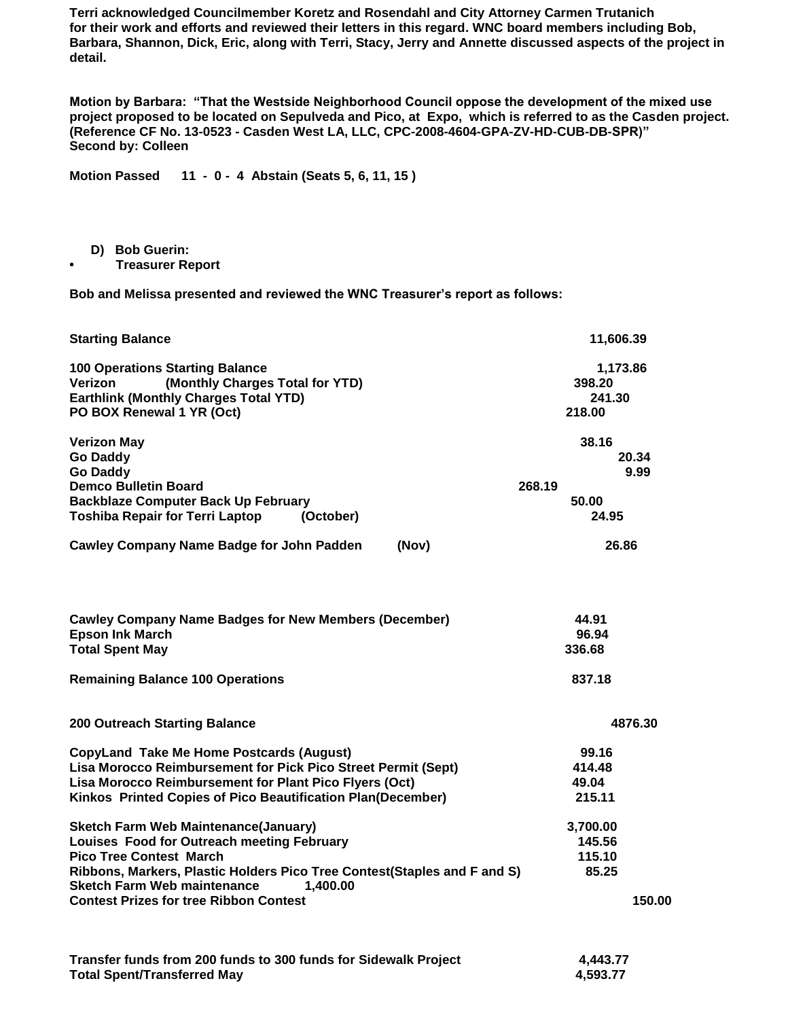**Terri acknowledged Councilmember Koretz and Rosendahl and City Attorney Carmen Trutanich for their work and efforts and reviewed their letters in this regard. WNC board members including Bob, Barbara, Shannon, Dick, Eric, along with Terri, Stacy, Jerry and Annette discussed aspects of the project in detail.** 

**Motion by Barbara: "That the Westside Neighborhood Council oppose the development of the mixed use project proposed to be located on Sepulveda and Pico, at Expo, which is referred to as the Casden project. (Reference CF No. 13-0523 - Casden West LA, LLC, CPC-2008-4604-GPA-ZV-HD-CUB-DB-SPR)" Second by: Colleen**

**Motion Passed 11 - 0 - 4 Abstain (Seats 5, 6, 11, 15 )** 

- **D) Bob Guerin:**
- **• Treasurer Report**

**Bob and Melissa presented and reviewed the WNC Treasurer's report as follows:**

| <b>Starting Balance</b>                                                                                                                                                                                                                                   | 11,606.39                              |
|-----------------------------------------------------------------------------------------------------------------------------------------------------------------------------------------------------------------------------------------------------------|----------------------------------------|
| <b>100 Operations Starting Balance</b><br>(Monthly Charges Total for YTD)<br>Verizon<br><b>Earthlink (Monthly Charges Total YTD)</b><br>PO BOX Renewal 1 YR (Oct)                                                                                         | 1,173.86<br>398.20<br>241.30<br>218.00 |
| <b>Verizon May</b><br><b>Go Daddy</b><br><b>Go Daddy</b>                                                                                                                                                                                                  | 38.16<br>20.34<br>9.99                 |
| <b>Demco Bulletin Board</b><br><b>Backblaze Computer Back Up February</b><br><b>Toshiba Repair for Terri Laptop</b><br>(October)                                                                                                                          | 268.19<br>50.00<br>24.95               |
| <b>Cawley Company Name Badge for John Padden</b><br>(Nov)                                                                                                                                                                                                 | 26.86                                  |
| <b>Cawley Company Name Badges for New Members (December)</b><br><b>Epson Ink March</b><br><b>Total Spent May</b>                                                                                                                                          | 44.91<br>96.94<br>336.68               |
| <b>Remaining Balance 100 Operations</b>                                                                                                                                                                                                                   | 837.18                                 |
| <b>200 Outreach Starting Balance</b>                                                                                                                                                                                                                      | 4876.30                                |
| <b>CopyLand Take Me Home Postcards (August)</b><br>Lisa Morocco Reimbursement for Pick Pico Street Permit (Sept)<br>Lisa Morocco Reimbursement for Plant Pico Flyers (Oct)<br>Kinkos Printed Copies of Pico Beautification Plan(December)                 | 99.16<br>414.48<br>49.04<br>215.11     |
| <b>Sketch Farm Web Maintenance(January)</b><br>Louises Food for Outreach meeting February<br><b>Pico Tree Contest March</b><br>Ribbons, Markers, Plastic Holders Pico Tree Contest(Staples and F and S)<br><b>Sketch Farm Web maintenance</b><br>1,400.00 | 3,700.00<br>145.56<br>115.10<br>85.25  |
| <b>Contest Prizes for tree Ribbon Contest</b>                                                                                                                                                                                                             | 150.00                                 |
| Transfer funds from 200 funds to 300 funds for Sidewalk Project                                                                                                                                                                                           | 4.443.77                               |

**Total Spent/Transferred May 4,593.77**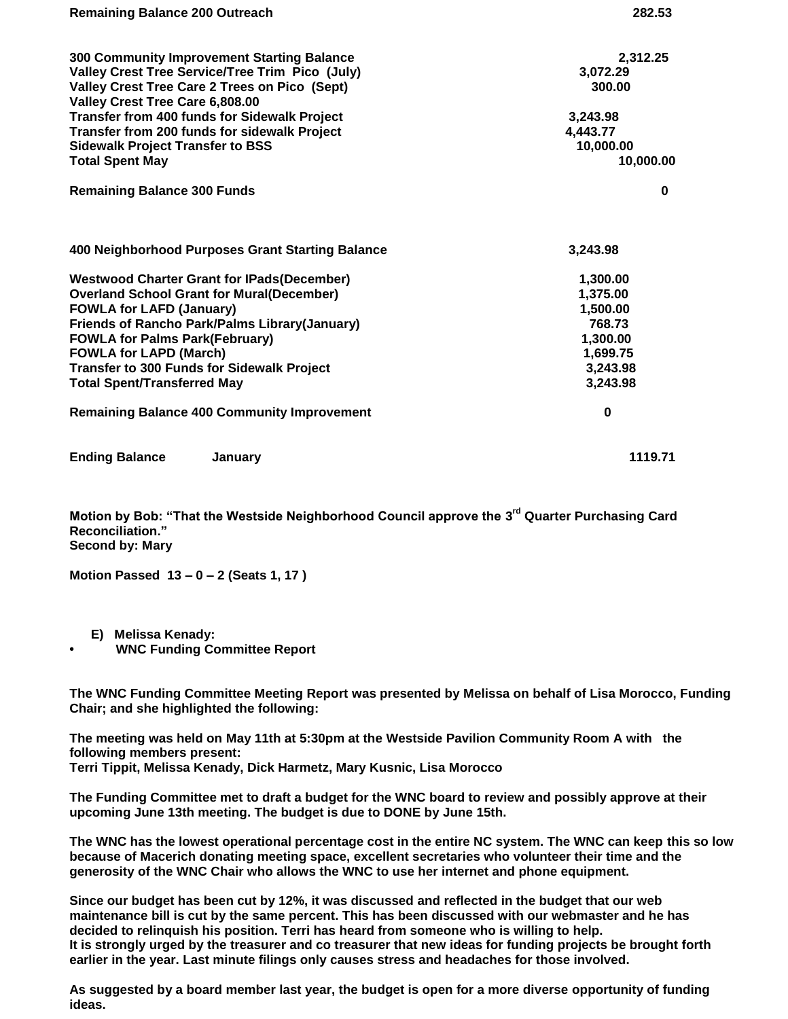| <b>Remaining Balance 200 Outreach</b>                                            | 282.53    |
|----------------------------------------------------------------------------------|-----------|
| 300 Community Improvement Starting Balance                                       | 2,312.25  |
| Valley Crest Tree Service/Tree Trim Pico (July)                                  | 3,072.29  |
| Valley Crest Tree Care 2 Trees on Pico (Sept)<br>Valley Crest Tree Care 6,808.00 | 300.00    |
| Transfer from 400 funds for Sidewalk Project                                     | 3,243.98  |
| Transfer from 200 funds for sidewalk Project                                     | 4,443.77  |
| <b>Sidewalk Project Transfer to BSS</b>                                          | 10,000.00 |
| <b>Total Spent May</b>                                                           | 10,000.00 |
| <b>Remaining Balance 300 Funds</b>                                               | $\bf{0}$  |
| 400 Neighborhood Purposes Grant Starting Balance                                 | 3,243.98  |
| <b>Westwood Charter Grant for IPads(December)</b>                                | 1,300.00  |
| <b>Overland School Grant for Mural(December)</b>                                 | 1,375.00  |
| <b>FOWLA for LAFD (January)</b>                                                  | 1,500.00  |
| <b>Friends of Rancho Park/Palms Library(January)</b>                             | 768.73    |
| <b>FOWLA for Palms Park(February)</b>                                            | 1,300.00  |
| <b>FOWLA for LAPD (March)</b>                                                    | 1,699.75  |
| <b>Transfer to 300 Funds for Sidewalk Project</b>                                | 3,243.98  |
| <b>Total Spent/Transferred May</b>                                               | 3,243.98  |
| <b>Remaining Balance 400 Community Improvement</b>                               | $\bf{0}$  |
| <b>Ending Balance</b><br>January                                                 | 1119.71   |

**Motion by Bob: "That the Westside Neighborhood Council approve the 3 rd Quarter Purchasing Card Reconciliation." Second by: Mary**

**Motion Passed 13 – 0 – 2 (Seats 1, 17 )** 

- **E) Melissa Kenady:**
- **• WNC Funding Committee Report**

**The WNC Funding Committee Meeting Report was presented by Melissa on behalf of Lisa Morocco, Funding Chair; and she highlighted the following:**

**The meeting was held on May 11th at 5:30pm at the Westside Pavilion Community Room A with the following members present: Terri Tippit, Melissa Kenady, Dick Harmetz, Mary Kusnic, Lisa Morocco**

**The Funding Committee met to draft a budget for the WNC board to review and possibly approve at their upcoming June 13th meeting. The budget is due to DONE by June 15th.**

**The WNC has the lowest operational percentage cost in the entire NC system. The WNC can keep this so low because of Macerich donating meeting space, excellent secretaries who volunteer their time and the generosity of the WNC Chair who allows the WNC to use her internet and phone equipment.**

**Since our budget has been cut by 12%, it was discussed and reflected in the budget that our web maintenance bill is cut by the same percent. This has been discussed with our webmaster and he has decided to relinquish his position. Terri has heard from someone who is willing to help. It is strongly urged by the treasurer and co treasurer that new ideas for funding projects be brought forth earlier in the year. Last minute filings only causes stress and headaches for those involved.**

**As suggested by a board member last year, the budget is open for a more diverse opportunity of funding ideas.**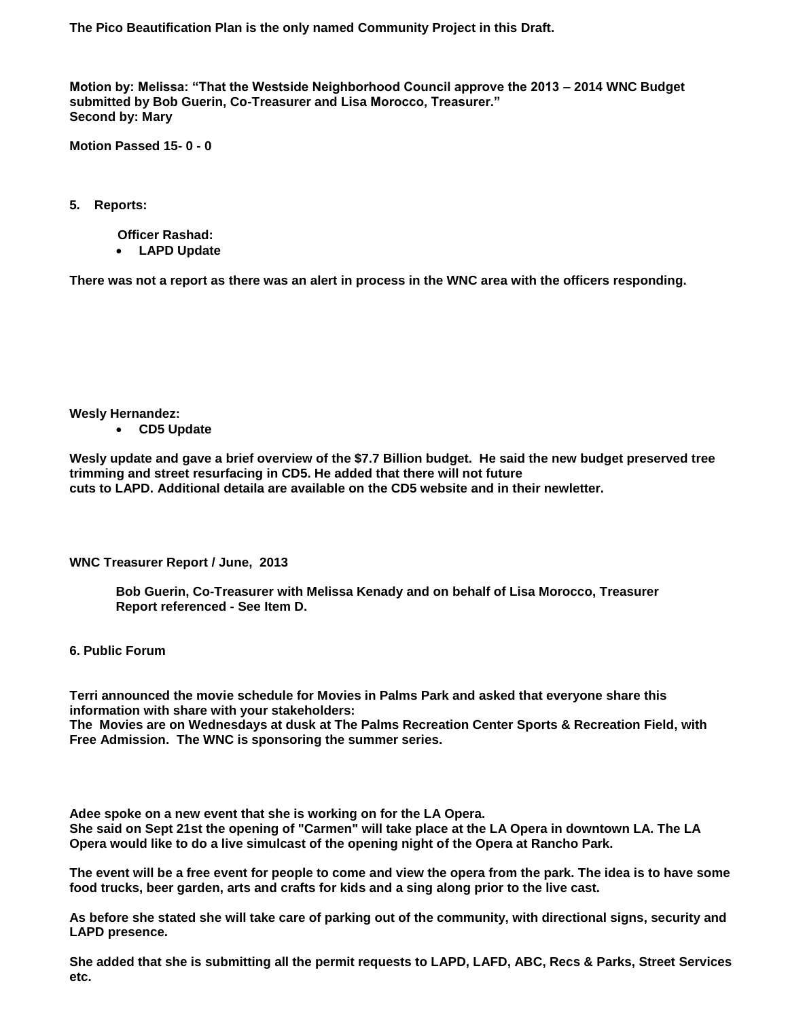**The Pico Beautification Plan is the only named Community Project in this Draft.**

**Motion by: Melissa: "That the Westside Neighborhood Council approve the 2013 – 2014 WNC Budget submitted by Bob Guerin, Co-Treasurer and Lisa Morocco, Treasurer." Second by: Mary**

**Motion Passed 15- 0 - 0**

**5. Reports:** 

 **Officer Rashad: LAPD Update**

**There was not a report as there was an alert in process in the WNC area with the officers responding.** 

**Wesly Hernandez:** 

**CD5 Update**

**Wesly update and gave a brief overview of the \$7.7 Billion budget. He said the new budget preserved tree trimming and street resurfacing in CD5. He added that there will not future cuts to LAPD. Additional detaila are available on the CD5 website and in their newletter.**

**WNC Treasurer Report / June, 2013**

**Bob Guerin, Co-Treasurer with Melissa Kenady and on behalf of Lisa Morocco, Treasurer Report referenced - See Item D.**

**6. Public Forum**

**Terri announced the movie schedule for Movies in Palms Park and asked that everyone share this information with share with your stakeholders:**

**The Movies are on Wednesdays at dusk at The Palms Recreation Center Sports & Recreation Field, with Free Admission. The WNC is sponsoring the summer series.**

**Adee spoke on a new event that she is working on for the LA Opera.** 

**She said on Sept 21st the opening of "Carmen" will take place at the LA Opera in downtown LA. The LA Opera would like to do a live simulcast of the opening night of the Opera at Rancho Park.** 

**The event will be a free event for people to come and view the opera from the park. The idea is to have some food trucks, beer garden, arts and crafts for kids and a sing along prior to the live cast.** 

**As before she stated she will take care of parking out of the community, with directional signs, security and LAPD presence.** 

**She added that she is submitting all the permit requests to LAPD, LAFD, ABC, Recs & Parks, Street Services etc.**